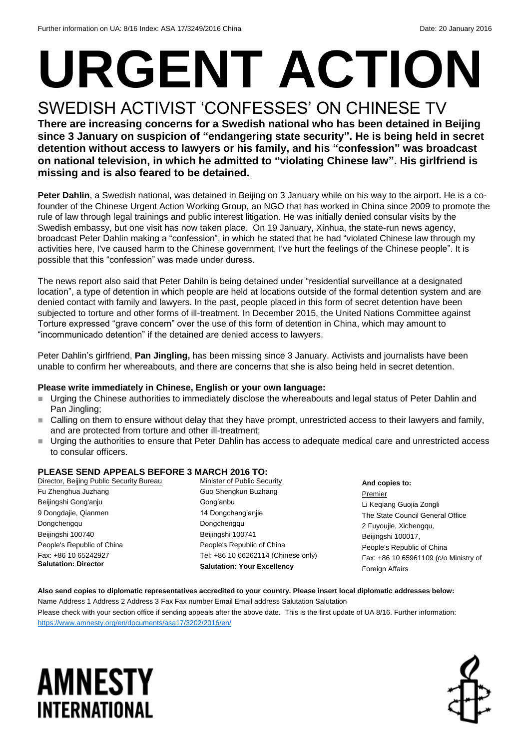## **URGENT ACTION** SWEDISH ACTIVIST 'CONFESSES' ON CHINESE TV

**There are increasing concerns for a Swedish national who has been detained in Beijing since 3 January on suspicion of "endangering state security". He is being held in secret detention without access to lawyers or his family, and his "confession" was broadcast on national television, in which he admitted to "violating Chinese law". His girlfriend is missing and is also feared to be detained.** 

**Peter Dahlin**, a Swedish national, was detained in Beijing on 3 January while on his way to the airport. He is a cofounder of the Chinese Urgent Action Working Group, an NGO that has worked in China since 2009 to promote the rule of law through legal trainings and public interest litigation. He was initially denied consular visits by the Swedish embassy, but one visit has now taken place. On 19 January, Xinhua, the state-run news agency, broadcast Peter Dahlin making a "confession", in which he stated that he had "violated Chinese law through my activities here, I've caused harm to the Chinese government, I've hurt the feelings of the Chinese people". It is possible that this "confession" was made under duress.

The news report also said that Peter Dahiln is being detained under "residential surveillance at a designated location", a type of detention in which people are held at locations outside of the formal detention system and are denied contact with family and lawyers. In the past, people placed in this form of secret detention have been subjected to torture and other forms of ill-treatment. In December 2015, the United Nations Committee against Torture expressed "grave concern" over the use of this form of detention in China, which may amount to "incommunicado detention" if the detained are denied access to lawyers.

Peter Dahlin's girlfriend, **Pan Jingling,** has been missing since 3 January. Activists and journalists have been unable to confirm her whereabouts, and there are concerns that she is also being held in secret detention.

#### **Please write immediately in Chinese, English or your own language:**

- Urging the Chinese authorities to immediately disclose the whereabouts and legal status of Peter Dahlin and Pan Jingling;
- Calling on them to ensure without delay that they have prompt, unrestricted access to their lawyers and family, and are protected from torture and other ill-treatment;
- Urging the authorities to ensure that Peter Dahlin has access to adequate medical care and unrestricted access to consular officers.

#### **PLEASE SEND APPEALS BEFORE 3 MARCH 2016 TO:**

| Director, Beijing Public Security Bureau | Minister of Public Security         | And copies to:                                               |
|------------------------------------------|-------------------------------------|--------------------------------------------------------------|
| Fu Zhenghua Juzhang                      | Guo Shengkun Buzhang                | Premier                                                      |
| Beijingshi Gong'anju                     | Gong'anbu                           | Li Keqiang Guojia Zongli<br>The State Council General Office |
| 9 Dongdajie, Qianmen                     | 14 Dongchang'anjie                  |                                                              |
| Dongchengqu                              | Dongchenggu                         | 2 Fuyoujie, Xichengqu,                                       |
| Beijingshi 100740                        | Beijingshi 100741                   | Beijingshi 100017,<br>People's Republic of China             |
| People's Republic of China               | People's Republic of China          |                                                              |
| Fax: +86 10 65242927                     | Tel: +86 10 66262114 (Chinese only) | Fax: +86 10 65961109 (c/o Ministry of                        |
| <b>Salutation: Director</b>              | <b>Salutation: Your Excellency</b>  | <b>Foreign Affairs</b>                                       |
|                                          |                                     |                                                              |

#### **Also send copies to diplomatic representatives accredited to your country. Please insert local diplomatic addresses below:** Name Address 1 Address 2 Address 3 Fax Fax number Email Email address Salutation Salutation

Please check with your section office if sending appeals after the above date. This is the first update of UA 8/16. Further information: <https://www.amnesty.org/en/documents/asa17/3202/2016/en/>